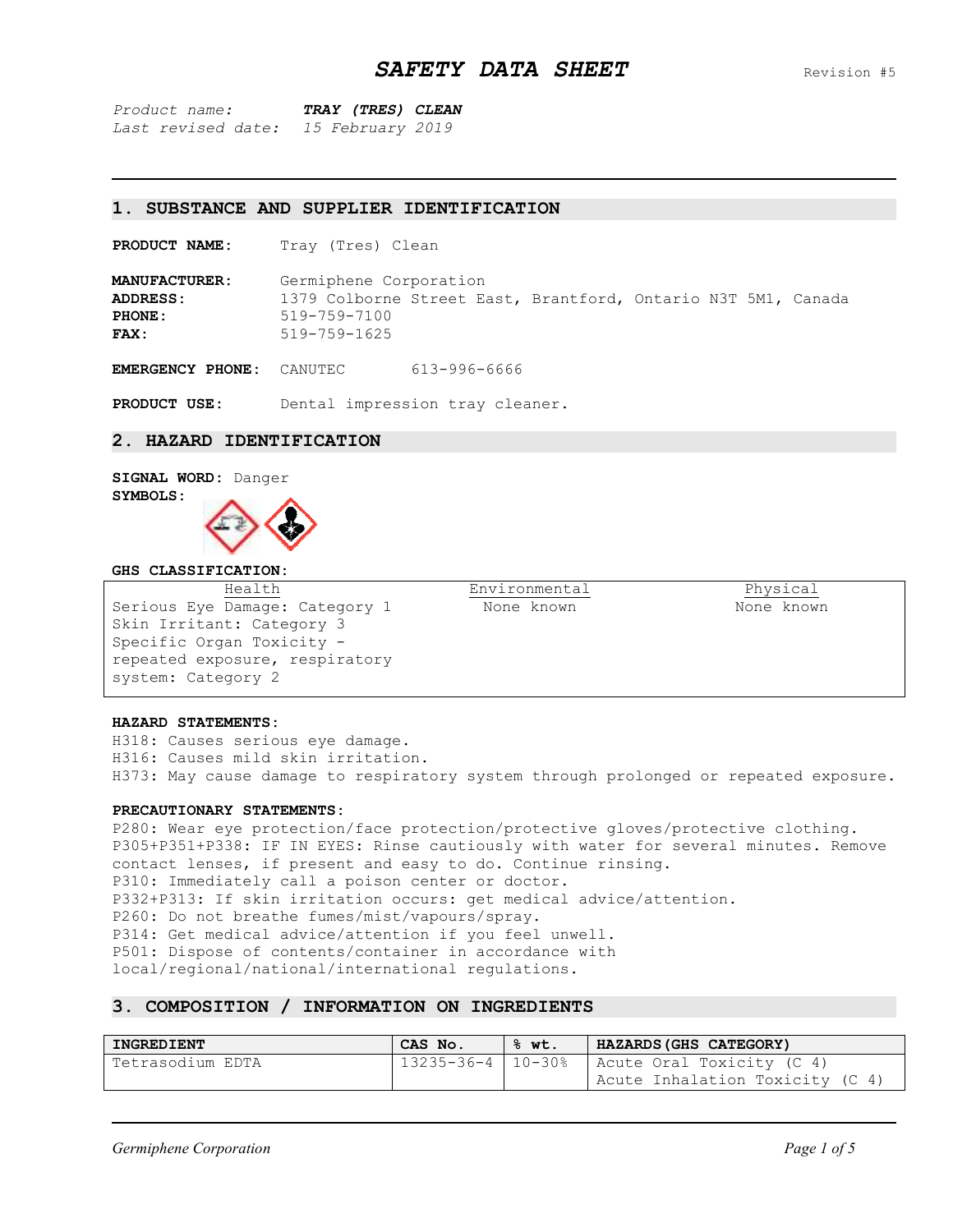*Product name: TRAY (TRES) CLEAN Last revised date: 15 February 2019*

#### **1. SUBSTANCE AND SUPPLIER IDENTIFICATION**

**PRODUCT NAME:** Tray (Tres) Clean

**MANUFACTURER:** Germiphene Corporation **ADDRESS:** 1379 Colborne Street East, Brantford, Ontario N3T 5M1, Canada **PHONE:** 519-759-7100 **FAX:** 519-759-1625

**EMERGENCY PHONE:** CANUTEC 613-996-6666

**PRODUCT USE:** Dental impression tray cleaner.

### **2. HAZARD IDENTIFICATION**

# **SIGNAL WORD:** Danger **SYMBOLS:**



#### **GHS CLASSIFICATION:**

Health Serious Eye Damage: Category 1 Skin Irritant: Category 3 Specific Organ Toxicity repeated exposure, respiratory system: Category 2

Environmental None known

Physical None known

#### **HAZARD STATEMENTS:**

H318: Causes serious eye damage. H316: Causes mild skin irritation. H373: May cause damage to respiratory system through prolonged or repeated exposure.

#### **PRECAUTIONARY STATEMENTS:**

P280: Wear eye protection/face protection/protective gloves/protective clothing. P305+P351+P338: IF IN EYES: Rinse cautiously with water for several minutes. Remove contact lenses, if present and easy to do. Continue rinsing. P310: Immediately call a poison center or doctor. P332+P313: If skin irritation occurs: get medical advice/attention. P260: Do not breathe fumes/mist/vapours/spray. P314: Get medical advice/attention if you feel unwell. P501: Dispose of contents/container in accordance with local/regional/national/international regulations.

## **3. COMPOSITION / INFORMATION ON INGREDIENTS**

| INGREDIENT       | CAS No. | ·% wt. | HAZARDS (GHS CATEGORY)                          |
|------------------|---------|--------|-------------------------------------------------|
| Tetrasodium EDTA |         |        | 13235-36-4   10-30%   Acute Oral Toxicity (C 4) |
|                  |         |        | Acute Inhalation Toxicity (C 4)                 |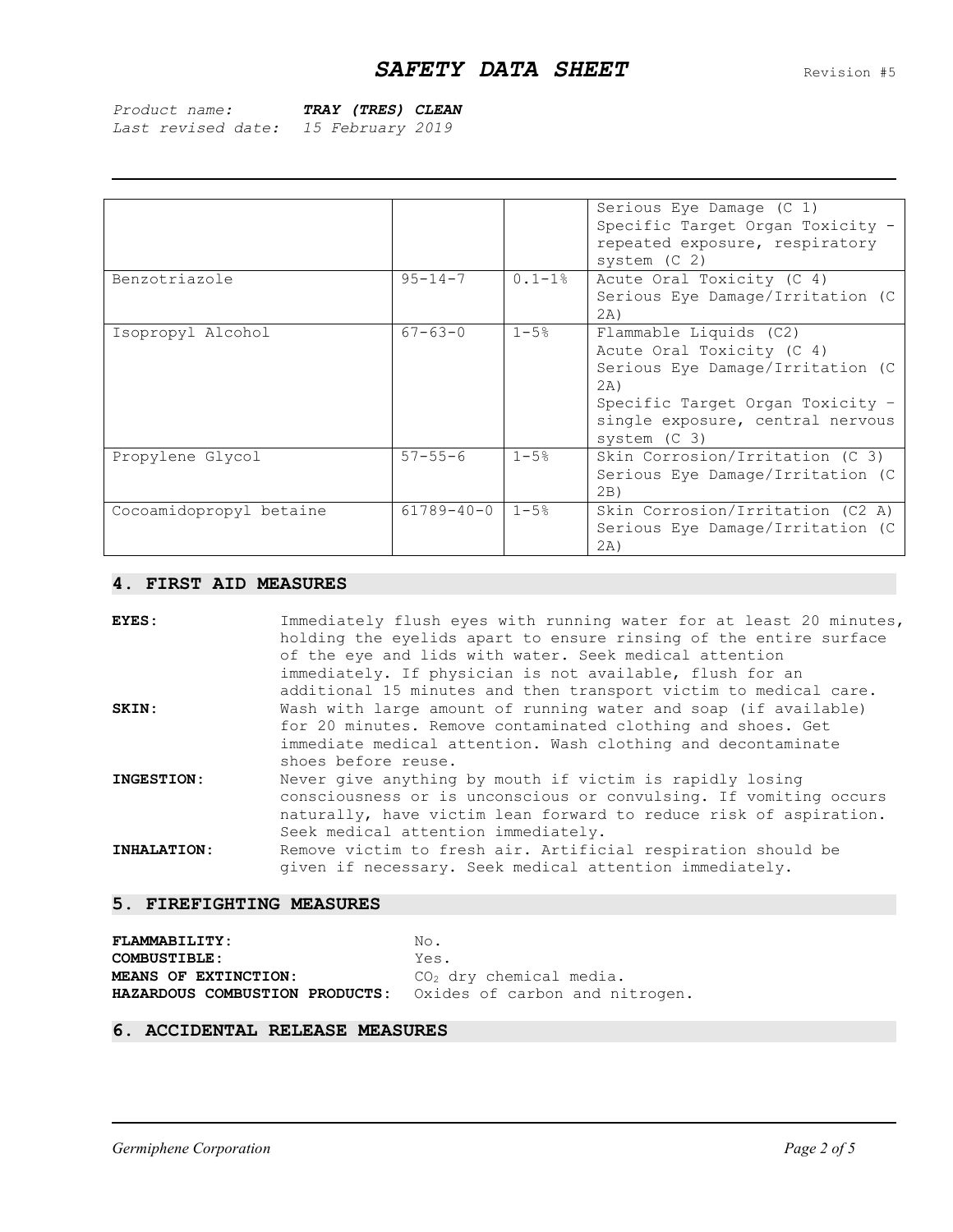| Product name:      | TRAY (TRES) CLEAN |
|--------------------|-------------------|
| Last revised date: | 15 February 2019  |

|                         |                  |             | Serious Eye Damage (C 1)         |
|-------------------------|------------------|-------------|----------------------------------|
|                         |                  |             | Specific Target Organ Toxicity - |
|                         |                  |             | repeated exposure, respiratory   |
|                         |                  |             | system $(C2)$                    |
| Benzotriazole           | $95 - 14 - 7$    | $0.1 - 1$ % | Acute Oral Toxicity (C 4)        |
|                         |                  |             | Serious Eye Damage/Irritation (C |
|                         |                  |             | 2A)                              |
| Isopropyl Alcohol       | $67 - 63 - 0$    | $1 - 5%$    | Flammable Liquids (C2)           |
|                         |                  |             | Acute Oral Toxicity (C 4)        |
|                         |                  |             | Serious Eye Damage/Irritation (C |
|                         |                  |             | 2A)                              |
|                         |                  |             | Specific Target Organ Toxicity - |
|                         |                  |             | single exposure, central nervous |
|                         |                  |             | system $(C3)$                    |
| Propylene Glycol        | $57 - 55 - 6$    | $1 - 5%$    | Skin Corrosion/Irritation (C 3)  |
|                         |                  |             | Serious Eye Damage/Irritation (C |
|                         |                  |             | 2B)                              |
| Cocoamidopropyl betaine | $61789 - 40 - 0$ | $1 - 5%$    | Skin Corrosion/Irritation (C2 A) |
|                         |                  |             | Serious Eye Damage/Irritation (C |
|                         |                  |             | (2A)                             |

# **4. FIRST AID MEASURES**

| EYES:                    | Immediately flush eyes with running water for at least 20 minutes,<br>holding the eyelids apart to ensure rinsing of the entire surface<br>of the eye and lids with water. Seek medical attention<br>immediately. If physician is not available, flush for an |
|--------------------------|---------------------------------------------------------------------------------------------------------------------------------------------------------------------------------------------------------------------------------------------------------------|
|                          | additional 15 minutes and then transport victim to medical care.                                                                                                                                                                                              |
| SKIN:                    | Wash with large amount of running water and soap (if available)<br>for 20 minutes. Remove contaminated clothing and shoes. Get<br>immediate medical attention. Wash clothing and decontaminate<br>shoes before reuse.                                         |
| INGESTION:               | Never give anything by mouth if victim is rapidly losing<br>consciousness or is unconscious or convulsing. If vomiting occurs<br>naturally, have victim lean forward to reduce risk of aspiration.<br>Seek medical attention immediately.                     |
| INHALATION:              | Remove victim to fresh air. Artificial respiration should be<br>given if necessary. Seek medical attention immediately.                                                                                                                                       |
| 5. FIREFIGHTING MEASURES |                                                                                                                                                                                                                                                               |

| <b>FLAMMABILITY:</b>                                          | No.                       |
|---------------------------------------------------------------|---------------------------|
| <b>COMBUSTIBLE:</b>                                           | Yes.                      |
| MEANS OF EXTINCTION:                                          | $CO2$ dry chemical media. |
| HAZARDOUS COMBUSTION PRODUCTS: Oxides of carbon and nitrogen. |                           |

# **6. ACCIDENTAL RELEASE MEASURES**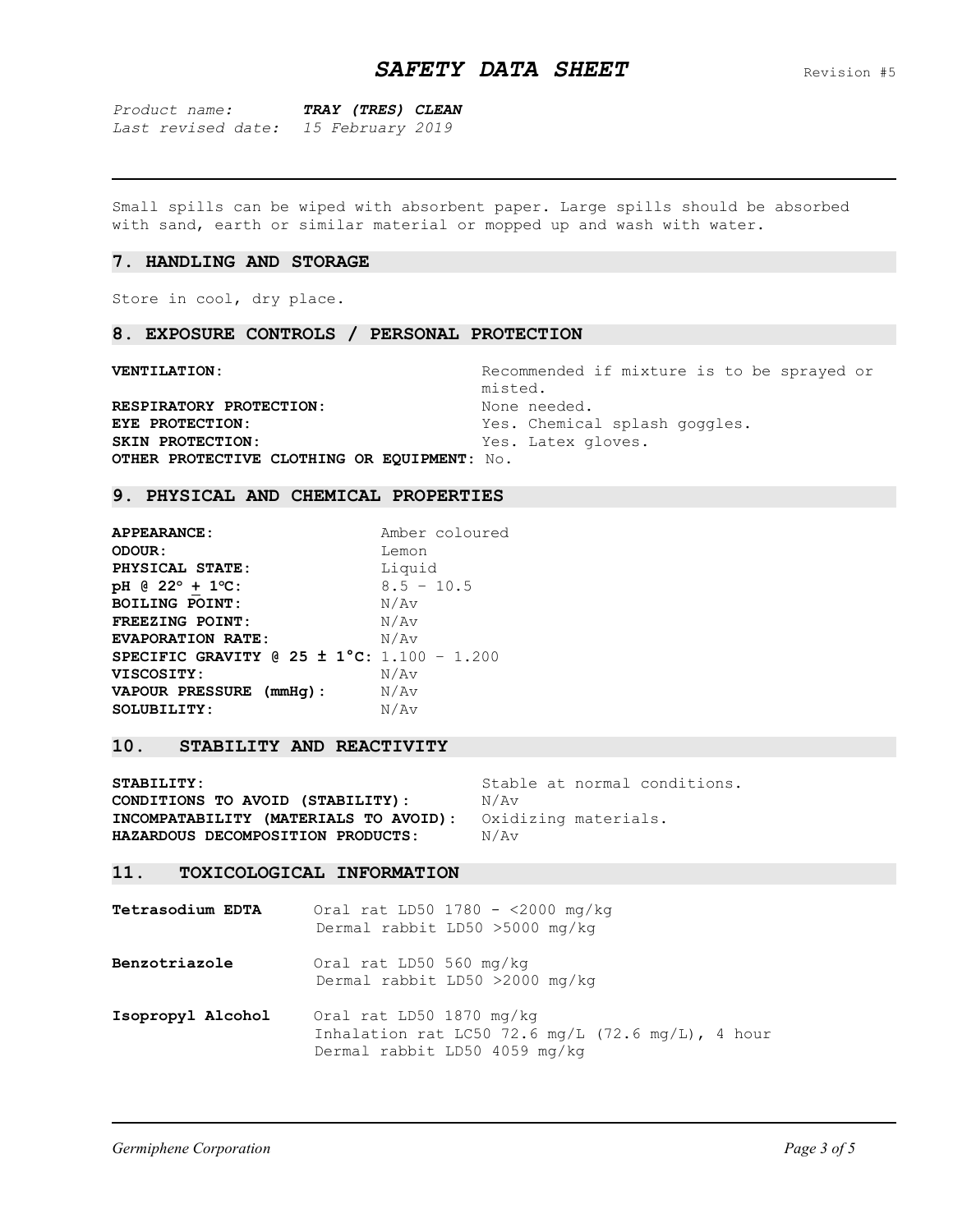*Product name: TRAY (TRES) CLEAN Last revised date: 15 February 2019*

Small spills can be wiped with absorbent paper. Large spills should be absorbed with sand, earth or similar material or mopped up and wash with water.

#### **7. HANDLING AND STORAGE**

Store in cool, dry place.

### **8. EXPOSURE CONTROLS / PERSONAL PROTECTION**

**VENTILATION:** Recommended if mixture is to be sprayed or misted. **RESPIRATORY PROTECTION:** None needed. **EYE PROTECTION:** Yes. Chemical splash goggles. SKIN PROTECTION: Yes. Latex gloves. **OTHER PROTECTIVE CLOTHING OR EQUIPMENT:** No.

### **9. PHYSICAL AND CHEMICAL PROPERTIES**

**APPEARANCE:** Amber coloured **ODOUR:** Lemon PHYSICAL STATE: Liquid **pH @ 22<sup>o</sup> + 1 <sup>o</sup>C:** 8.5 – 10.5 **BOILING POINT:** N/Av **FREEZING POINT:** N/Av **EVAPORATION RATE:**  $N/AV$ **SPECIFIC GRAVITY @ 25 ± 1°C:** 1.100 – 1.200 **VISCOSITY:** N/Av **VAPOUR PRESSURE (mmHg):** N/Av SOLUBILITY: N/Av

## **10. STABILITY AND REACTIVITY**

**STABILITY:** Stable at normal conditions. **CONDITIONS TO AVOID (STABILITY):**  $N/AV$ **INCOMPATABILITY (MATERIALS TO AVOID):** Oxidizing materials. **HAZARDOUS DECOMPOSITION PRODUCTS:**  $N/AV$ 

## **11. TOXICOLOGICAL INFORMATION**

**Tetrasodium EDTA** Oral rat LD50 1780 - <2000 mg/kg Dermal rabbit LD50 >5000 mg/kg **Benzotriazole** Oral rat LD50 560 mg/kg Dermal rabbit LD50 >2000 mg/kg

**Isopropyl Alcohol** Oral rat LD50 1870 mg/kg Inhalation rat LC50 72.6 mg/L (72.6 mg/L), 4 hour Dermal rabbit LD50 4059 mg/kg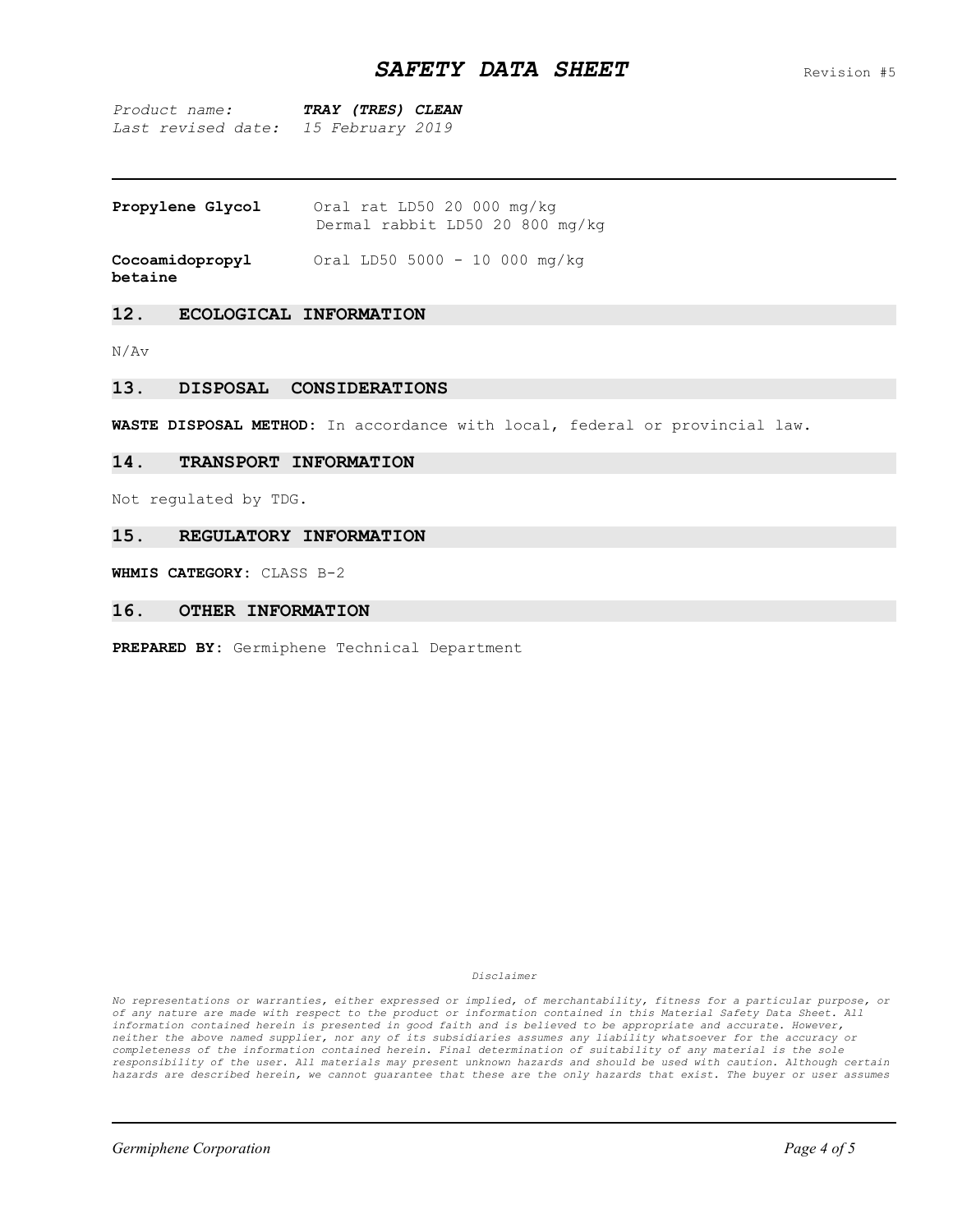# **SAFETY DATA SHEET** Revision #5

*Product name: TRAY (TRES) CLEAN Last revised date: 15 February 2019*

| Propylene Glycol |  | Oral rat LD50 20 000 mg/kg      |  |  |  |
|------------------|--|---------------------------------|--|--|--|
|                  |  | Dermal rabbit LD50 20 800 mg/kg |  |  |  |

**Cocoamidopropyl** Oral LD50 5000 - 10 000 mg/kg

**betaine**

# **12. ECOLOGICAL INFORMATION**

N/Av

## **13. DISPOSAL CONSIDERATIONS**

**WASTE DISPOSAL METHOD:** In accordance with local, federal or provincial law.

## **14. TRANSPORT INFORMATION**

Not regulated by TDG.

## **15. REGULATORY INFORMATION**

**WHMIS CATEGORY:** CLASS B-2

## **16. OTHER INFORMATION**

**PREPARED BY:** Germiphene Technical Department

*Disclaimer*

*No representations or warranties, either expressed or implied, of merchantability, fitness for a particular purpose, or of any nature are made with respect to the product or information contained in this Material Safety Data Sheet. All information contained herein is presented in good faith and is believed to be appropriate and accurate. However, neither the above named supplier, nor any of its subsidiaries assumes any liability whatsoever for the accuracy or completeness of the information contained herein. Final determination of suitability of any material is the sole responsibility of the user. All materials may present unknown hazards and should be used with caution. Although certain hazards are described herein, we cannot guarantee that these are the only hazards that exist. The buyer or user assumes*